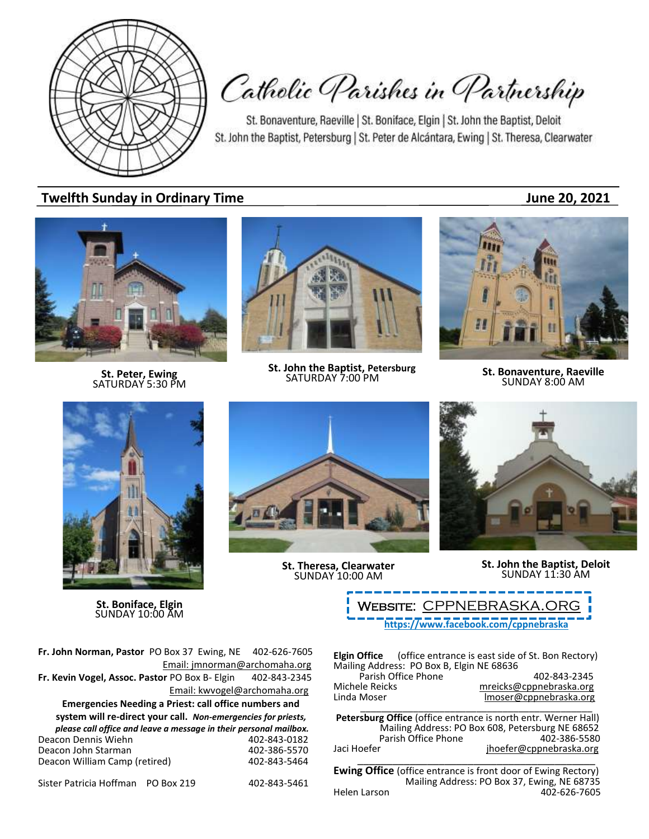

Catholic Parishes in Partnership

St. Bonaventure, Raeville | St. Boniface, Elgin | St. John the Baptist, Deloit St. John the Baptist, Petersburg | St. Peter de Alcántara, Ewing | St. Theresa, Clearwater

# **Twelfth Sunday in Ordinary Time 1988** and 1999 and 1999 and 1999 and 1999 and 1999 and 1999 and 1999 and 1999 and 1999 and 1999 and 1999 and 1999 and 1999 and 1999 and 1999 and 1999 and 1999 and 1999 and 1999 and 1999 and

**St. Peter, Ewing** SATURDAY 5:30 PM



**St. John the Baptist, Petersburg**<br>SATURDAY 7:00 PM



**SATURDAY 7:00 PM St. Bonaventure, Raeville**<br>SATURDAY 7:00 PM **SUNDAY 8:00 AM** 



**St. Boniface, Elgin** SUNDAY 10:00 AM



**St. Theresa, Clearwater** SUNDAY 10:00 AM



**St. John the Baptist, Deloit** SUNDAY 11:30 AM

**<https://www.facebook.com/cppnebraska>** WEBSITE: CPPNEBRASKA.OF

**Fr. John Norman, Pastor** PO Box 37 Ewing, NE 402-626-7605 Email: jmnorman@archomaha.org **Fr. Kevin Vogel, Assoc. Pastor** PO Box B- Elgin 402-843-2345 Email: [kwvogel@archomaha.org](mailto:kwvogel@archomaha.org) **Emergencies Needing a Priest: call office numbers and system will re-direct your call.** *Non-emergencies for priests, please call office and leave a message in their personal mailbox.* Deacon Dennis Wiehn 402-843-0182 Deacon John Starman 1988 102-386-5570<br>Deacon William Camp (retired) 402-843-5464 Deacon William Camp (retired)

Sister Patricia Hoffman PO Box 219 402-843-5461

**Elgin Office** (office entrance is east side of St. Bon Rectory) Mailing Address: PO Box B, Elgin NE 68636 Parish Office Phone 402-843-2345

| Parish Office Phone | 402-843-2345            |
|---------------------|-------------------------|
| Michele Reicks      | mreicks@cppnebraska.org |
| Linda Moser         | Imoser@cppnebraska.org  |
|                     |                         |

**Petersburg Office** (office entrance is north entr. Werner Hall) Mailing Address: PO Box 608, Petersburg NE 68652 Parish Office Phone Jaci Hoefer jhoefer@cppnebraska.org \_\_\_\_\_\_\_\_\_\_\_\_\_\_\_\_\_\_\_\_\_\_\_\_\_\_\_\_\_\_\_\_\_\_\_\_\_\_\_\_\_

**Ewing Office** (office entrance is front door of Ewing Rectory) Mailing Address: PO Box 37, Ewing, NE 68735<br>Helen Larson 402-626-7605 402-626-7605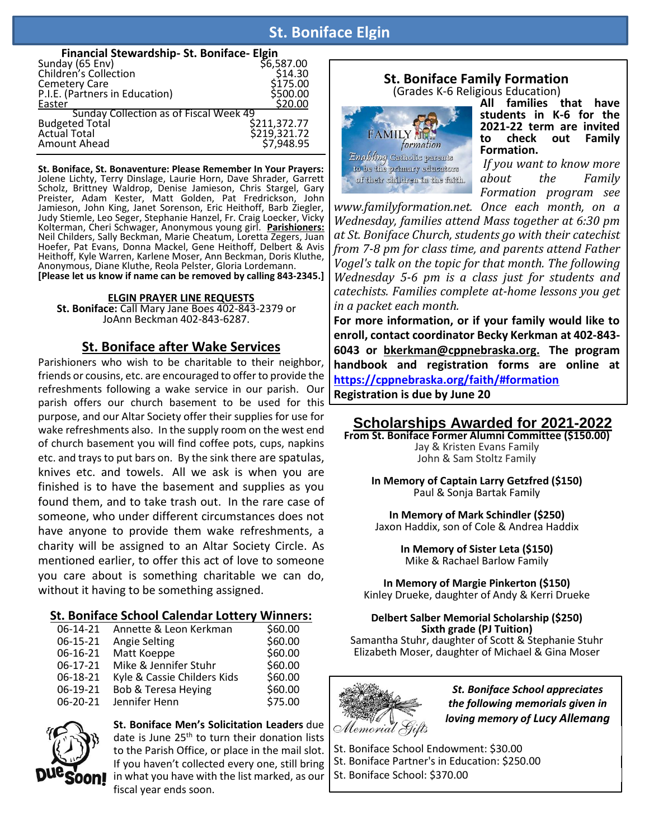# **St. Boniface Elgin**

#### **Financial Stewardship- St. Boniface- Elgin**

| ay (65 Env)<br>\$6,587.00<br>Sunday (65 Env) |              |
|----------------------------------------------|--------------|
| Children's Collection                        | \$14.30      |
| <b>Cemetery Care</b>                         | \$175.00     |
| P.I.E. (Partners in Education)               | \$500.00     |
| Easter                                       | \$20.00      |
| Sunday Collection as of Fiscal Week 49       |              |
| <b>Budgeted Total</b>                        | \$211,372.77 |
| <b>Actual Total</b>                          | \$219,321.72 |
| Amount Ahead                                 | \$7,948.95   |
|                                              |              |

**St. Boniface, St. Bonaventure: Please Remember In Your Prayers:** Jolene Lichty, Terry Dinslage, Laurie Horn, Dave Shrader, Garrett Scholz, Brittney Waldrop, Denise Jamieson, Chris Stargel, Gary Preister, Adam Kester, Matt Golden, Pat Fredrickson, John Jamieson, John King, Janet Sorenson, Eric Heithoff, Barb Ziegler, Judy Stiemle, Leo Seger, Stephanie Hanzel, Fr. Craig Loecker, Vicky Kolterman, Cheri Schwager, Anonymous young girl. **Parishioners:** Neil Childers, Sally Beckman, Marie Cheatum, Loretta Zegers, Juan Hoefer, Pat Evans, Donna Mackel, Gene Heithoff, Delbert & Avis Heithoff, Kyle Warren, Karlene Moser, Ann Beckman, Doris Kluthe, Anonymous, Diane Kluthe, Reola Pelster, Gloria Lordemann. **[Please let us know if name can be removed by calling 843-2345.]**

**ELGIN PRAYER LINE REQUESTS**

**St. Boniface:** Call Mary Jane Boes 402-843-2379 or JoAnn Beckman 402-843-6287.

## **St. Boniface after Wake Services**

Parishioners who wish to be charitable to their neighbor, friends or cousins, etc. are encouraged to offer to provide the refreshments following a wake service in our parish. Our parish offers our church basement to be used for this purpose, and our Altar Society offer their supplies for use for wake refreshments also. In the supply room on the west end of church basement you will find coffee pots, cups, napkins etc. and trays to put bars on. By the sink there are spatulas, knives etc. and towels. All we ask is when you are finished is to have the basement and supplies as you found them, and to take trash out. In the rare case of someone, who under different circumstances does not have anyone to provide them wake refreshments, a charity will be assigned to an Altar Society Circle. As mentioned earlier, to offer this act of love to someone you care about is something charitable we can do, without it having to be something assigned.

### **St. Boniface School Calendar Lottery Winners:**

| 06-14-21   | Annette & Leon Kerkman      | \$60.00 |
|------------|-----------------------------|---------|
| 06-15-21   | Angie Selting               | \$60.00 |
| 06-16-21   | Matt Koeppe                 | \$60.00 |
| $06-17-21$ | Mike & Jennifer Stuhr       | \$60.00 |
| 06-18-21   | Kyle & Cassie Childers Kids | \$60.00 |
| 06-19-21   | Bob & Teresa Heying         | \$60.00 |
| 06-20-21   | Jennifer Henn               | \$75.00 |



**St. Boniface Men's Solicitation Leaders** due date is June 25<sup>th</sup> to turn their donation lists to the Parish Office, or place in the mail slot. If you haven't collected every one, still bring in what you have with the list marked, as our fiscal year ends soon.

# **St. Boniface Family Formation**

(Grades K-6 Religious Education)



**All families that have students in K-6 for the 2021-22 term are invited**  check out **Formation.**

*If you want to know more about the Family Formation program see*

*www.familyformation.net. Once each month, on a Wednesday, families attend Mass together at 6:30 pm at St. Boniface Church, students go with their catechist from 7-8 pm for class time, and parents attend Father Vogel's talk on the topic for that month. The following Wednesday 5-6 pm is a class just for students and catechists. Families complete at-home lessons you get in a packet each month.*

**For more information, or if your family would like to enroll, contact coordinator Becky Kerkman at 402-843- 6043 or bkerkman@cppnebraska.org. The program handbook and registration forms are online at <https://cppnebraska.org/faith/#formation>**

**Registration is due by June 20**

# **Scholarships Awarded for 2021-2022**

**From St. Boniface Former Alumni Committee (\$150.00)** Jay & Kristen Evans Family John & Sam Stoltz Family

> **In Memory of Captain Larry Getzfred (\$150)** Paul & Sonja Bartak Family

**In Memory of Mark Schindler (\$250)** Jaxon Haddix, son of Cole & Andrea Haddix

> **In Memory of Sister Leta (\$150)** Mike & Rachael Barlow Family

**In Memory of Margie Pinkerton (\$150)** Kinley Drueke, daughter of Andy & Kerri Drueke

#### **Delbert Salber Memorial Scholarship (\$250) Sixth grade (PJ Tuition)**

Samantha Stuhr, daughter of Scott & Stephanie Stuhr Elizabeth Moser, daughter of Michael & Gina Moser



*St. Boniface School appreciates the following memorials given in loving memory of Lucy Allemang*

St. Boniface School Endowment: \$30.00 St. Boniface Partner's in Education: \$250.00 St. Boniface School: \$370.00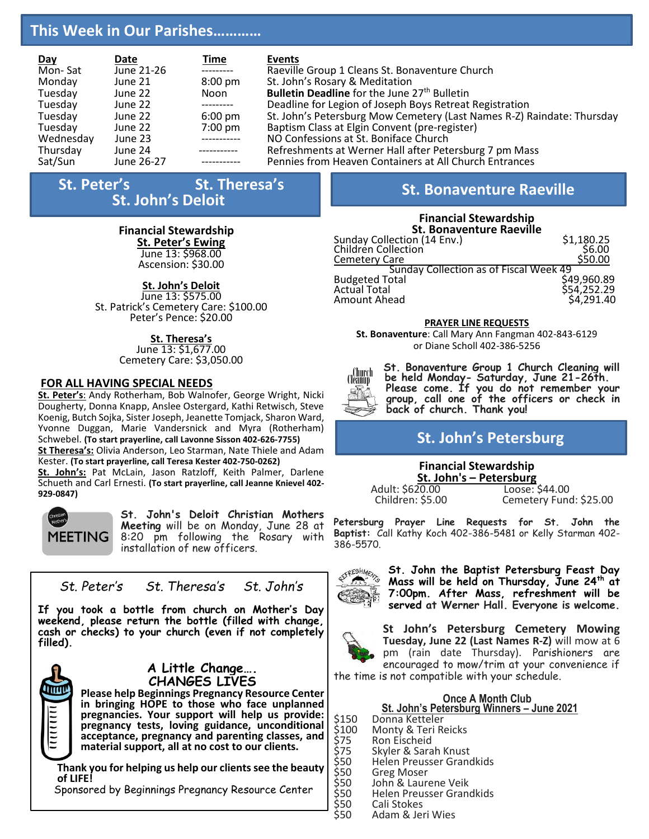# **This Week in Our Parishes…………**

| Day       | Date       | <u>Time</u>       | Events                                                                 |
|-----------|------------|-------------------|------------------------------------------------------------------------|
| Mon-Sat   | June 21-26 | ----------        | Raeville Group 1 Cleans St. Bonaventure Church                         |
| Monday    | June 21    | $8:00 \text{ pm}$ | St. John's Rosary & Meditation                                         |
| Tuesday   | June 22    | Noon              | Bulletin Deadline for the June 27 <sup>th</sup> Bulletin               |
| Tuesday   | June 22    | ----------        | Deadline for Legion of Joseph Boys Retreat Registration                |
| Tuesday   | June 22    | $6:00 \text{ pm}$ | St. John's Petersburg Mow Cemetery (Last Names R-Z) Raindate: Thursday |
| Tuesday   | June 22    | $7:00 \text{ pm}$ | Baptism Class at Elgin Convent (pre-register)                          |
| Wednesday | June 23    | ------------      | NO Confessions at St. Boniface Church                                  |
| Thursday  | June 24    | -----------       | Refreshments at Werner Hall after Petersburg 7 pm Mass                 |
| Sat/Sun   | June 26-27 |                   | Pennies from Heaven Containers at All Church Entrances                 |

# **St. Peter's** St. Theresa's **<sup>S</sup>t. John's Deloit St. Bonaventure Raeville**

### **Financial Stewardship**

**St. Peter's Ewing**  June 13: \$968.00

Ascension: \$30.00

## **St. John's Deloit**

June 13: \$575.00 St. Patrick's Cemetery Care: \$100.00 Peter's Pence: \$20.00

### **St. Theresa's**

June 13: \$1,677.00 Cemetery Care: \$3,050.00

#### **FOR ALL HAVING SPECIAL NEEDS**

**St. Peter's**: Andy Rotherham, Bob Walnofer, George Wright, Nicki Dougherty, Donna Knapp, Anslee Ostergard, Kathi Retwisch, Steve Koenig, Butch Sojka, Sister Joseph, Jeanette Tomjack, Sharon Ward, Yvonne Duggan, Marie Vandersnick and Myra (Rotherham) Schwebel. **(To start prayerline, call Lavonne Sisson 402-626-7755) St Theresa's:** Olivia Anderson, Leo Starman, Nate Thiele and Adam Kester. **(To start prayerline, call Teresa Kester 402-750-0262)**

**St. John's:** Pat McLain, Jason Ratzloff, Keith Palmer, Darlene Schueth and Carl Ernesti. **(To start prayerline, call Jeanne Knievel 402- 929-0847)**



**St. John's Deloit Christian Mothers Meeting** will be on Monday, June 28 at 8:20 pm following the Rosary with installation of new officers.

*St. Peter's St. Theresa's St. John's*

**If you took a bottle from church on Mother's Day weekend, please return the bottle (filled with change, cash or checks) to your church (even if not completely filled).**



#### **A Little Change…. CHANGES LIVES**

**Please help Beginnings Pregnancy Resource Center in bringing HOPE to those who face unplanned**  pregnancies. Your support will help us provide: **pregnancy tests, loving guidance, unconditional acceptance, pregnancy and parenting classes, and material support, all at no cost to our clients.** 

**Thank you for helping us help our clients see the beauty of LIFE!**

Sponsored by Beginnings Pregnancy Resource Center

### **Financial Stewardship**

| <b>St. Bonaventure Raeville</b>               |             |  |  |  |  |
|-----------------------------------------------|-------------|--|--|--|--|
| Sunday Collection (14 Env.)                   | \$1,180.25  |  |  |  |  |
| Children Collection                           | \$6.00      |  |  |  |  |
| <b>Cemetery Care</b>                          | \$50.00     |  |  |  |  |
| <b>Sunday Collection as of Fiscal Week 49</b> |             |  |  |  |  |
| <b>Budgeted Total</b>                         | \$49,960.89 |  |  |  |  |
| <b>Actual Total</b>                           | \$54,252.29 |  |  |  |  |
| Amount Ahead                                  | \$4,291.40  |  |  |  |  |

#### **PRAYER LINE REQUESTS**

**St. Bonaventure**: Call Mary Ann Fangman 402-843-6129 or Diane Scholl 402-386-5256



**St. Bonaventure Group 1 Church Cleaning will be held Monday- Saturday, June 21-26th. Please come. If you do not remember your group, call one of the officers or check in back of church. Thank you!**

# **St. John's Petersburg**

# **Financial Stewardship St. John's – Petersburg**

Adult: \$620.00<br>Children: \$5.00

Cemetery Fund: \$25.00

**Petersburg Prayer Line Requests for St. John the Baptist:** Call Kathy Koch 402-386-5481 or Kelly Starman 402- 386-5570.



**St. John the Baptist Petersburg Feast Day Mass will be held on Thursday, June 24th at 7:00pm. After Mass, refreshment will be served at Werner Hall. Everyone is welcome.**



**St John's Petersburg Cemetery Mowing Tuesday, June 22 (Last Names R-Z)** will mow at 6 pm (rain date Thursday). Parishioners are encouraged to mow/trim at your convenience if

the time is not compatible with your schedule.

## **Once A Month Club St. John's Petersburg Winners – June 2021**

- \$150 Donna Ketteler<br>\$100 Monty & Teri R
- \$100 Monty & Teri Reicks<br>\$75 Ron Eischeid
- \$75 Ron Eischeid<br>\$75 Skyler & Sara
- \$75 Skyler & Sarah Knust<br>\$50 Helen Preusser Grand
- \$50 Helen Preusser Grandkids<br>\$50 Greg Moser
- \$50 Greg Moser<br>\$50 John & Laur
- \$50 John & Laurene Veik<br>\$50 Helen Preusser Gran<br>\$50 Cali Stokes **Helen Preusser Grandkids**
- \$50 Cali Stokes<br>\$50 Adam & Jei
	- Adam & Jeri Wies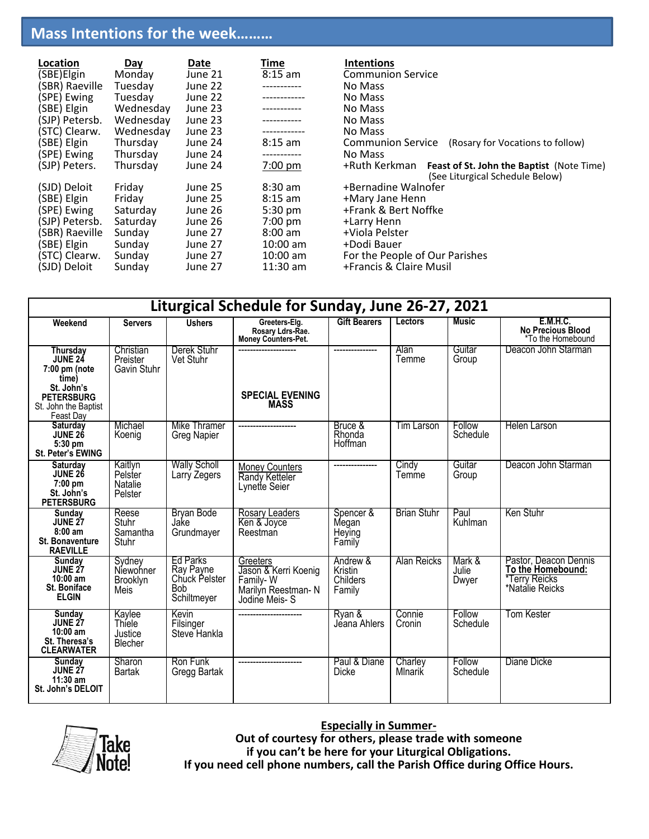# **Mass Intentions for the week………**

| Location       | <u>Day</u> | Date    | Time              | <b>Intentions</b>                                                                                    |
|----------------|------------|---------|-------------------|------------------------------------------------------------------------------------------------------|
| (SBE)Elgin     | Monday     | June 21 | $8:15$ am         | <b>Communion Service</b>                                                                             |
| (SBR) Raeville | Tuesday    | June 22 |                   | No Mass                                                                                              |
| (SPE) Ewing    | Tuesday    | June 22 |                   | No Mass                                                                                              |
| (SBE) Elgin    | Wednesday  | June 23 |                   | No Mass                                                                                              |
| (SJP) Petersb. | Wednesday  | June 23 |                   | No Mass                                                                                              |
| (STC) Clearw.  | Wednesday  | June 23 |                   | No Mass                                                                                              |
| (SBE) Elgin    | Thursday   | June 24 | $8:15$ am         | Communion Service<br>(Rosary for Vocations to follow)                                                |
| (SPE) Ewing    | Thursday   | June 24 | -----------       | No Mass                                                                                              |
| (SJP) Peters.  | Thursday   | June 24 | $7:00 \text{ pm}$ | +Ruth Kerkman<br><b>Feast of St. John the Baptist (Note Time)</b><br>(See Liturgical Schedule Below) |
| (SJD) Deloit   | Friday     | June 25 | $8:30$ am         | +Bernadine Walnofer                                                                                  |
| (SBE) Elgin    | Friday     | June 25 | $8:15$ am         | +Mary Jane Henn                                                                                      |
| (SPE) Ewing    | Saturday   | June 26 | 5:30 pm           | +Frank & Bert Noffke                                                                                 |
| (SJP) Petersb. | Saturday   | June 26 | $7:00$ pm         | +Larry Henn                                                                                          |
| (SBR) Raeville | Sunday     | June 27 | $8:00 \text{ am}$ | +Viola Pelster                                                                                       |
| (SBE) Elgin    | Sunday     | June 27 | $10:00$ am        | +Dodi Bauer                                                                                          |
| (STC) Clearw.  | Sunday     | June 27 | $10:00$ am        | For the People of Our Parishes                                                                       |
| (SJD) Deloit   | Sunday     | June 27 | $11:30$ am        | +Francis & Claire Musil                                                                              |

| Liturgical Schedule for Sunday, June 26-27, 2021                                                           |                                            |                                                                            |                                                                                     |                                                  |                    |                          |                                                                  |
|------------------------------------------------------------------------------------------------------------|--------------------------------------------|----------------------------------------------------------------------------|-------------------------------------------------------------------------------------|--------------------------------------------------|--------------------|--------------------------|------------------------------------------------------------------|
| Weekend                                                                                                    | <b>Servers</b>                             | <b>Ushers</b>                                                              | Greeters-Elg.<br>Rosary Ldrs-Rae.<br>Money Counters-Pet.                            | <b>Gift Bearers</b>                              | <b>Lectors</b>     | Music                    | <b>E.M.H.C.</b><br><b>No Precious Blood</b><br>*To the Homebound |
| Thursday<br>JUNE 24<br>$7:00$ pm (note<br>time)<br>St. John's<br><b>PETERSBURG</b><br>St. John the Baptist | Christian<br>Preister<br>Gavin Stuhr       | Derek Stuhr<br>Vet Stuhr                                                   | <b>SPECIAL EVENING</b><br><b>MASS</b>                                               |                                                  | Alan<br>Temme      | Guitar<br>Group          | Deacon John Starman                                              |
| Feast Day<br><b>Saturdav</b><br><b>JUNE 26</b><br>5:30 pm<br>St. Peter's EWING                             | Michael<br>Koenig                          | Mike Thramer<br><b>Greg Napier</b>                                         |                                                                                     | Bruce &<br>Rhonda<br>Hoffman                     | Tim Larson         | Follow<br>Schedule       | <b>Helen Larson</b>                                              |
| Saturday<br><b>JUNE 26</b><br>$7:00$ pm<br>St. John's<br><b>PETERSBURG</b>                                 | Kaitlyn<br>Pelster<br>Natalie<br>Pelster   | <b>Wally Scholl</b><br>Larry Zegers                                        | <b>Money Counters</b><br>Randy Ketteler<br>Lynette Seier                            |                                                  | Cindy<br>Temme     | Guitar<br>Group          | Deacon John Starman                                              |
| Sunday<br><b>JUNE 27</b><br>$8:00$ am<br><b>St. Bonaventure</b><br><b>RAEVILLE</b>                         | Reese<br><b>Stuhr</b><br>Samantha<br>Stuhr | <b>Bryan Bode</b><br>Jake<br>Grundmayer                                    | Rosary Leaders<br>Ken & Joyce<br>Reestman                                           | Spencer &<br>Megan<br>Heying<br>Family           | <b>Brian Stuhr</b> | Paul<br>Kuhlman          | Ken Stuhr                                                        |
| Sunday<br><b>JUNE 27</b><br>$10:00$ am<br><b>St. Boniface</b><br><b>ELGIN</b>                              | Sydney<br>Niewohner<br>Brooklyn<br>Meis    | <b>Ed Parks</b><br>Ray Payne<br>Chuck Pelster<br><b>Bob</b><br>Schiltmeyer | Greeters<br>Jason & Kerri Koenig<br>Family-W<br>Marilyn Reestman-N<br>Jodine Meis-S | Andrew &<br><b>Kristin</b><br>Childers<br>Family | Alan Reicks        | Mark &<br>Julie<br>Dwyer | Pastor, Deacon Dennis<br>To the Homebound:<br>*Natalie Reicks    |
| <b>Sunday</b><br><b>JUNE 27</b><br>$10:00$ am<br>St. Theresa's<br><b>CLEARWATER</b>                        | Kaylee<br>Thiele<br>Justice<br>Blecher     | Kevin<br>Filsinger<br>Steve Hankla                                         |                                                                                     | Ryan &<br>Jéana Ahlers                           | Connie<br>Cronin   | Follow<br>Schedule       | Tom Kester                                                       |
| <b>Sunday</b><br><b>JUNE 27</b><br>$11:30$ am<br>St. John's DELOIT                                         | Sharon<br><b>Bartak</b>                    | Ron Funk<br>Gregg Bartak                                                   |                                                                                     | Paul & Diane<br>Dicke                            | Charley<br>Mlnarik | Follow<br>Schedule       | Diane Dicke                                                      |



## **Especially in Summer-**

**Out of courtesy for others, please trade with someone if you can't be here for your Liturgical Obligations. If you need cell phone numbers, call the Parish Office during Office Hours.**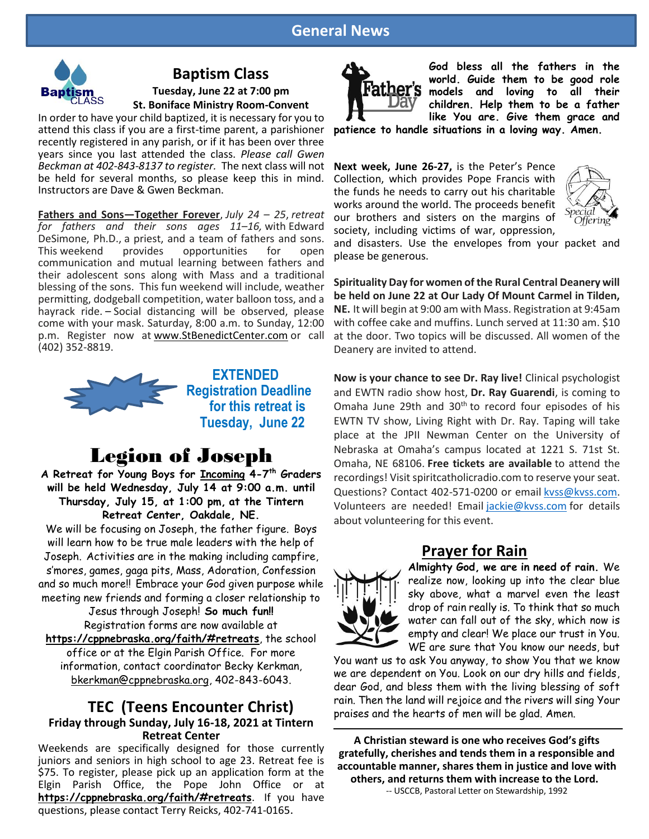## **General News**



# **Baptism Class**

**Tuesday, June 22 at 7:00 pm St. Boniface Ministry Room-Convent**

In order to have your child baptized, it is necessary for you to attend this class if you are a first-time parent, a parishioner recently registered in any parish, or if it has been over three years since you last attended the class. *Please call Gwen Beckman at 402-843-8137 to register.* The next class will not be held for several months, so please keep this in mind. Instructors are Dave & Gwen Beckman.

**Fathers and Sons—Together Forever**, *July 24 – 25*, *retreat for fathers and their sons ages 11–16,* with Edward DeSimone, Ph.D., a priest, and a team of fathers and sons. This weekend provides opportunities for open communication and mutual learning between fathers and their adolescent sons along with Mass and a traditional blessing of the sons. This fun weekend will include, weather permitting, dodgeball competition, water balloon toss, and a hayrack ride. – Social distancing will be observed, please come with your mask. Saturday, 8:00 a.m. to Sunday, 12:00 p.m. Register now at [www.StBenedictCenter.com](http://www.stbenedictcenter.com/) or call (402) 352-8819.



## **EXTENDED Registration Deadline for this retreat is Tuesday, June 22**

# Legion of Joseph

**A Retreat for Young Boys for Incoming 4-7 th Graders will be held Wednesday, July 14 at 9:00 a.m. until Thursday, July 15, at 1:00 pm, at the Tintern Retreat Center, Oakdale, NE.**

We will be focusing on Joseph, the father figure. Boys will learn how to be true male leaders with the help of Joseph. Activities are in the making including campfire, s'mores, games, gaga pits, Mass, Adoration, Confession and so much more!! Embrace your God given purpose while meeting new friends and forming a closer relationship to

> Jesus through Joseph! **So much fun!!**  Registration forms are now available at

**<https://cppnebraska.org/faith/#retreats>**, the school office or at the Elgin Parish Office. For more information, contact coordinator Becky Kerkman, [bkerkman@cppnebraska.org,](mailto:bkerkman@cppnebraska.org) 402-843-6043.

## **TEC (Teens Encounter Christ) Friday through Sunday, July 16-18, 2021 at Tintern Retreat Center**

Weekends are specifically designed for those currently juniors and seniors in high school to age 23. Retreat fee is \$75. To register, please pick up an application form at the Elgin Parish Office, the Pope John Office or at **<https://cppnebraska.org/faith/#retreats>**. If you have questions, please contact Terry Reicks, 402-741-0165.



**God bless all the fathers in the world. Guide them to be good role models and loving to all their children. Help them to be a father like You are. Give them grace and** 

**patience to handle situations in a loving way. Amen.**

**Next week, June 26-27,** is the Peter's Pence Collection, which provides Pope Francis with the funds he needs to carry out his charitable works around the world. The proceeds benefit our brothers and sisters on the margins of society, including victims of war, oppression,



and disasters. Use the envelopes from your packet and please be generous.

**Spirituality Day for women of the Rural Central Deanery will be held on June 22 at Our Lady Of Mount Carmel in Tilden, NE.** It will begin at 9:00 am with Mass. Registration at 9:45am with coffee cake and muffins. Lunch served at 11:30 am. \$10 at the door. Two topics will be discussed. All women of the Deanery are invited to attend.

**Now is your chance to see Dr. Ray live!** Clinical psychologist and EWTN radio show host, **Dr. Ray Guarendi**, is coming to Omaha June 29th and 30<sup>th</sup> to record four episodes of his EWTN TV show, Living Right with Dr. Ray. Taping will take place at the JPII Newman Center on the University of Nebraska at Omaha's campus located at 1221 S. 71st St. Omaha, NE 68106. **Free tickets are available** to attend the recordings! Visit spiritcatholicradio.com to reserve your seat. Questions? Contact 402-571-0200 or email kyss@kyss.com. Volunteers are needed! Email [jackie@kvss.com](mailto:jackie@kvss.com) for details about volunteering for this event.

# **Prayer for Rain**



**Almighty God, we are in need of rain.** We realize now, looking up into the clear blue sky above, what a marvel even the least drop of rain really is. To think that so much water can fall out of the sky, which now is empty and clear! We place our trust in You. WE are sure that You know our needs, but

You want us to ask You anyway, to show You that we know we are dependent on You. Look on our dry hills and fields, dear God, and bless them with the living blessing of soft rain. Then the land will rejoice and the rivers will sing Your praises and the hearts of men will be glad. Amen.

**A Christian steward is one who receives God's gifts gratefully, cherishes and tends them in a responsible and accountable manner, shares them in justice and love with others, and returns them with increase to the Lord.**

-- USCCB, Pastoral Letter on Stewardship, 1992